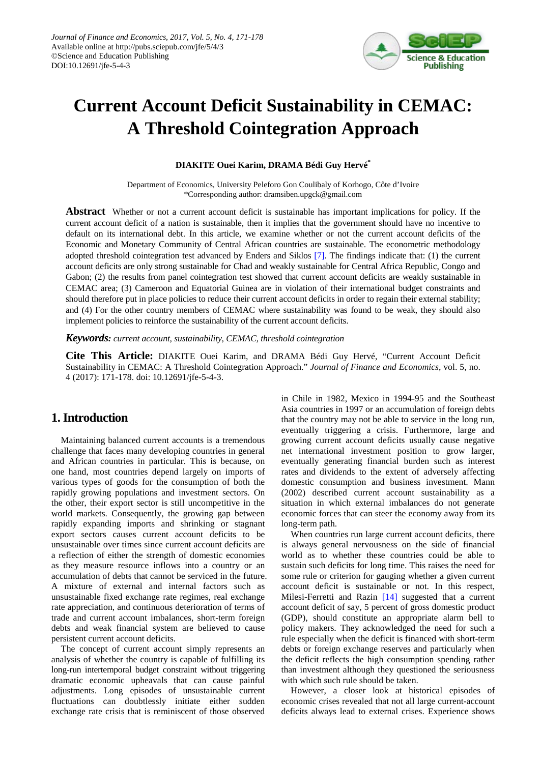

# **Current Account Deficit Sustainability in CEMAC: A Threshold Cointegration Approach**

**DIAKITE Ouei Karim, DRAMA Bédi Guy Hervé\***

Department of Economics, University Peleforo Gon Coulibaly of Korhogo, Côte d'Ivoire \*Corresponding author: dramsiben.upgck@gmail.com

**Abstract** Whether or not a current account deficit is sustainable has important implications for policy. If the current account deficit of a nation is sustainable, then it implies that the government should have no incentive to default on its international debt. In this article, we examine whether or not the current account deficits of the Economic and Monetary Community of Central African countries are sustainable. The econometric methodology adopted threshold cointegration test advanced by Enders and Siklos [\[7\].](#page-6-0) The findings indicate that: (1) the current account deficits are only strong sustainable for Chad and weakly sustainable for Central Africa Republic, Congo and Gabon; (2) the results from panel cointegration test showed that current account deficits are weakly sustainable in CEMAC area; (3) Cameroon and Equatorial Guinea are in violation of their international budget constraints and should therefore put in place policies to reduce their current account deficits in order to regain their external stability; and (4) For the other country members of CEMAC where sustainability was found to be weak, they should also implement policies to reinforce the sustainability of the current account deficits.

*Keywords: current account, sustainability, CEMAC, threshold cointegration*

**Cite This Article:** DIAKITE Ouei Karim, and DRAMA Bédi Guy Hervé, "Current Account Deficit Sustainability in CEMAC: A Threshold Cointegration Approach." *Journal of Finance and Economics*, vol. 5, no. 4 (2017): 171-178. doi: 10.12691/jfe-5-4-3.

# **1. Introduction**

Maintaining balanced current accounts is a tremendous challenge that faces many developing countries in general and African countries in particular. This is because, on one hand, most countries depend largely on imports of various types of goods for the consumption of both the rapidly growing populations and investment sectors. On the other, their export sector is still uncompetitive in the world markets. Consequently, the growing gap between rapidly expanding imports and shrinking or stagnant export sectors causes current account deficits to be unsustainable over times since current account deficits are a reflection of either the strength of domestic economies as they measure resource inflows into a country or an accumulation of debts that cannot be serviced in the future. A mixture of external and internal factors such as unsustainable fixed exchange rate regimes, real exchange rate appreciation, and continuous deterioration of terms of trade and current account imbalances, short-term foreign debts and weak financial system are believed to cause persistent current account deficits.

The concept of current account simply represents an analysis of whether the country is capable of fulfilling its long-run intertemporal budget constraint without triggering dramatic economic upheavals that can cause painful adjustments. Long episodes of unsustainable current fluctuations can doubtlessly initiate either sudden exchange rate crisis that is reminiscent of those observed in Chile in 1982, Mexico in 1994-95 and the Southeast Asia countries in 1997 or an accumulation of foreign debts that the country may not be able to service in the long run, eventually triggering a crisis. Furthermore, large and growing current account deficits usually cause negative net international investment position to grow larger, eventually generating financial burden such as interest rates and dividends to the extent of adversely affecting domestic consumption and business investment. Mann (2002) described current account sustainability as a situation in which external imbalances do not generate economic forces that can steer the economy away from its long-term path.

When countries run large current account deficits, there is always general nervousness on the side of financial world as to whether these countries could be able to sustain such deficits for long time. This raises the need for some rule or criterion for gauging whether a given current account deficit is sustainable or not. In this respect, Milesi-Ferretti and Razin [\[14\]](#page-6-1) suggested that a current account deficit of say, 5 percent of gross domestic product (GDP), should constitute an appropriate alarm bell to policy makers. They acknowledged the need for such a rule especially when the deficit is financed with short-term debts or foreign exchange reserves and particularly when the deficit reflects the high consumption spending rather than investment although they questioned the seriousness with which such rule should be taken.

However, a closer look at historical episodes of economic crises revealed that not all large current-account deficits always lead to external crises. Experience shows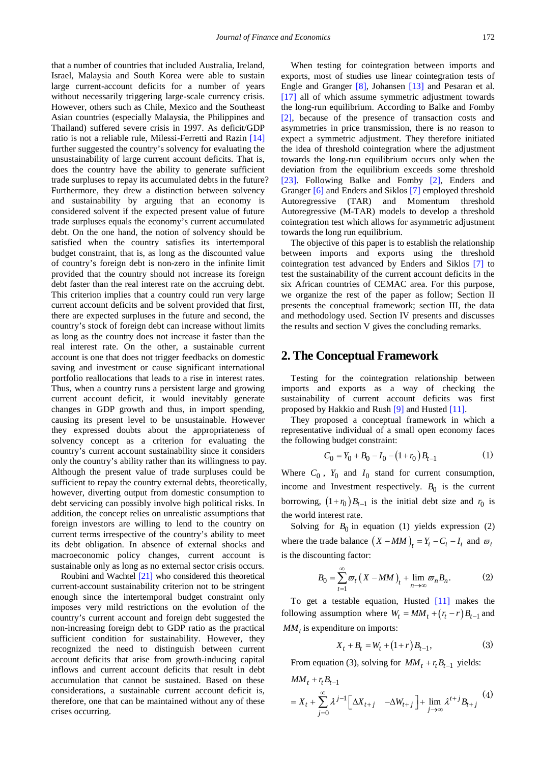that a number of countries that included Australia, Ireland, Israel, Malaysia and South Korea were able to sustain large current-account deficits for a number of years without necessarily triggering large-scale currency crisis. However, others such as Chile, Mexico and the Southeast Asian countries (especially Malaysia, the Philippines and Thailand) suffered severe crisis in 1997. As deficit/GDP ratio is not a reliable rule, Milessi-Ferretti and Razin [\[14\]](#page-6-1) further suggested the country's solvency for evaluating the unsustainability of large current account deficits. That is, does the country have the ability to generate sufficient trade surpluses to repay its accumulated debts in the future? Furthermore, they drew a distinction between solvency and sustainability by arguing that an economy is considered solvent if the expected present value of future trade surpluses equals the economy's current accumulated debt. On the one hand, the notion of solvency should be satisfied when the country satisfies its intertemporal budget constraint, that is, as long as the discounted value of country's foreign debt is non-zero in the infinite limit provided that the country should not increase its foreign debt faster than the real interest rate on the accruing debt. This criterion implies that a country could run very large current account deficits and be solvent provided that first, there are expected surpluses in the future and second, the country's stock of foreign debt can increase without limits as long as the country does not increase it faster than the real interest rate. On the other, a sustainable current account is one that does not trigger feedbacks on domestic saving and investment or cause significant international portfolio reallocations that leads to a rise in interest rates. Thus, when a country runs a persistent large and growing current account deficit, it would inevitably generate changes in GDP growth and thus, in import spending, causing its present level to be unsustainable. However they expressed doubts about the appropriateness of solvency concept as a criterion for evaluating the country's current account sustainability since it considers only the country's ability rather than its willingness to pay. Although the present value of trade surpluses could be sufficient to repay the country external debts, theoretically, however, diverting output from domestic consumption to debt servicing can possibly involve high political risks. In addition, the concept relies on unrealistic assumptions that foreign investors are willing to lend to the country on current terms irrespective of the country's ability to meet its debt obligation. In absence of external shocks and macroeconomic policy changes, current account is sustainable only as long as no external sector crisis occurs.

Roubini and Wachtel [\[21\]](#page-7-0) who considered this theoretical current-account sustainability criterion not to be stringent enough since the intertemporal budget constraint only imposes very mild restrictions on the evolution of the country's current account and foreign debt suggested the non-increasing foreign debt to GDP ratio as the practical sufficient condition for sustainability. However, they recognized the need to distinguish between current account deficits that arise from growth-inducing capital inflows and current account deficits that result in debt accumulation that cannot be sustained. Based on these considerations, a sustainable current account deficit is, therefore, one that can be maintained without any of these crises occurring.

When testing for cointegration between imports and exports, most of studies use linear cointegration tests of Engle and Granger [\[8\],](#page-6-2) Johansen [\[13\]](#page-6-3) and Pesaran et al. [\[17\]](#page-7-1) all of which assume symmetric adjustment towards the long-run equilibrium. According to Balke and Fomby [\[2\],](#page-6-4) because of the presence of transaction costs and asymmetries in price transmission, there is no reason to expect a symmetric adjustment. They therefore initiated the idea of threshold cointegration where the adjustment towards the long-run equilibrium occurs only when the deviation from the equilibrium exceeds some threshold [\[23\].](#page-7-2) Following Balke and Fomby [\[2\],](#page-6-4) Enders and Granger [\[6\]](#page-6-5) and Enders and Siklos [\[7\]](#page-6-0) employed threshold Autoregressive (TAR) and Momentum threshold Autoregressive (M-TAR) models to develop a threshold cointegration test which allows for asymmetric adjustment towards the long run equilibrium.

The objective of this paper is to establish the relationship between imports and exports using the threshold cointegration test advanced by Enders and Siklos [\[7\]](#page-6-0) to test the sustainability of the current account deficits in the six African countries of CEMAC area. For this purpose, we organize the rest of the paper as follow; Section II presents the conceptual framework; section III, the data and methodology used. Section IV presents and discusses the results and section V gives the concluding remarks.

## **2. The Conceptual Framework**

Testing for the cointegration relationship between imports and exports as a way of checking the sustainability of current account deficits was first proposed by Hakkio and Rush [\[9\]](#page-6-6) and Huste[d \[11\].](#page-6-7) 

They proposed a conceptual framework in which a representative individual of a small open economy faces the following budget constraint:

$$
C_0 = Y_0 + B_0 - I_0 - (1 + r_0)B_{t-1}
$$
 (1)

Where  $C_0$ ,  $Y_0$  and  $I_0$  stand for current consumption, income and Investment respectively.  $B_0$  is the current borrowing,  $(1 + r_0) B_{t-1}$  is the initial debt size and  $r_0$  is the world interest rate.

Solving for  $B_0$  in equation (1) yields expression (2) where the trade balance  $(X - MM)_t = Y_t - C_t - I_t$  and  $\varpi_t$ is the discounting factor:

$$
B_0 = \sum_{t=1}^{\infty} \varpi_t \left( X - MM \right)_t + \lim_{n \to \infty} \varpi_n B_n. \tag{2}
$$

To get a testable equation, Husted  $[11]$  makes the following assumption where  $W_t = MM_t + (r_t - r)B_{t-1}$  and  $MM_t$  is expenditure on imports:

$$
X_t + B_t = W_t + (1+r)B_{t-1},
$$
 (3)

From equation (3), solving for  $MM_t + r_t B_{t-1}$  yields:

$$
MM_t + r_t B_{t-1}
$$
  
=  $X_t + \sum_{j=0}^{\infty} \lambda^{j-1} \left[ \Delta X_{t+j} - \Delta W_{t+j} \right] + \lim_{j \to \infty} \lambda^{t+j} B_{t+j}$  (4)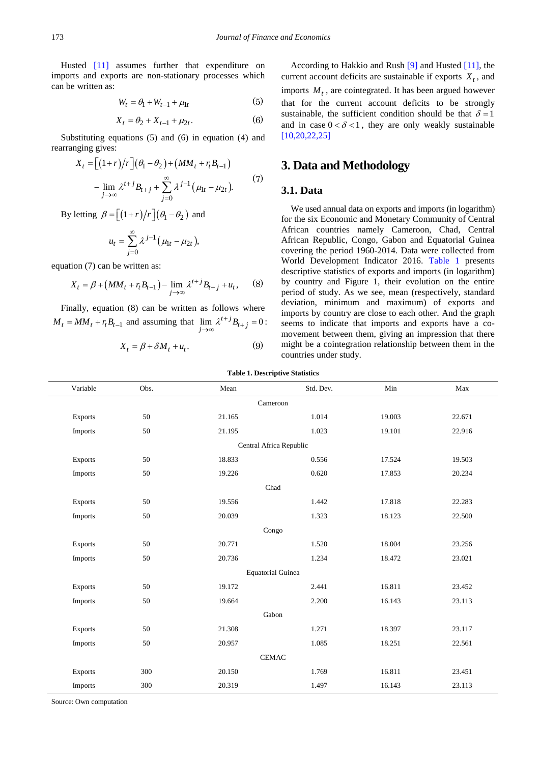Husted [\[11\]](#page-6-7) assumes further that expenditure on imports and exports are non-stationary processes which can be written as:

$$
W_t = \theta_1 + W_{t-1} + \mu_{1t} \tag{5}
$$

$$
X_t = \theta_2 + X_{t-1} + \mu_{2t}.
$$
 (6)

Substituting equations (5) and (6) in equation (4) and rearranging gives:

$$
X_{t} = \lfloor (1+r)/r \rfloor (\theta_{1} - \theta_{2}) + (MM_{t} + r_{t}B_{t-1})
$$
  

$$
- \lim_{j \to \infty} \lambda^{t+j} B_{t+j} + \sum_{j=0}^{\infty} \lambda^{j-1} (\mu_{1t} - \mu_{2t}).
$$
 (7)

By letting  $\beta = \left[ \frac{(1+r)}{r} \right] \left( \theta_1 - \theta_2 \right)$  and

$$
u_t = \sum_{j=0}^{\infty} \lambda^{j-1} (\mu_{1t} - \mu_{2t}),
$$

equation (7) can be written as:

$$
X_{t} = \beta + (MM_{t} + r_{t}B_{t-1}) - \lim_{j \to \infty} \lambda^{t+j} B_{t+j} + u_{t}, \quad (8)
$$

Finally, equation (8) can be written as follows where  $M_t = MM_t + r_t B_{t-1}$  and assuming that  $\lim_{j \to \infty} \lambda^{t+j} B_{t+j} = 0$ :

$$
X_t = \beta + \delta M_t + u_t. \tag{9}
$$

According to Hakkio and Rush [\[9\]](#page-6-6) and Husted [\[11\],](#page-6-7) the current account deficits are sustainable if exports  $X_t$ , and imports  $M_t$ , are cointegrated. It has been argued however that for the current account deficits to be strongly sustainable, the sufficient condition should be that  $\delta = 1$ and in case  $0 < \delta < 1$ , they are only weakly sustainable [\[10,20,22,25\]](#page-6-8)

# **3. Data and Methodology**

#### **3.1. Data**

We used annual data on exports and imports (in logarithm) for the six Economic and Monetary Community of Central African countries namely Cameroon, Chad, Central African Republic, Congo, Gabon and Equatorial Guinea covering the period 1960-2014. Data were collected from World Development Indicator 2016. [Table 1](#page-2-0) presents descriptive statistics of exports and imports (in logarithm) by country and Figure 1, their evolution on the entire period of study. As we see, mean (respectively, standard deviation, minimum and maximum) of exports and imports by country are close to each other. And the graph seems to indicate that imports and exports have a comovement between them, giving an impression that there might be a cointegration relationship between them in the countries under study.

<span id="page-2-0"></span>

| Variable       | Obs.   | Mean   | Std. Dev.                | Min    | Max    |
|----------------|--------|--------|--------------------------|--------|--------|
|                |        |        | Cameroon                 |        |        |
| <b>Exports</b> | $50\,$ | 21.165 | 1.014                    | 19.003 | 22.671 |
| Imports        | 50     | 21.195 | 1.023                    | 19.101 | 22.916 |
|                |        |        | Central Africa Republic  |        |        |
| Exports        | $50\,$ | 18.833 | 0.556                    | 17.524 | 19.503 |
| Imports        | 50     | 19.226 | 0.620                    | 17.853 | 20.234 |
|                |        |        | Chad                     |        |        |
| Exports        | 50     | 19.556 | 1.442                    | 17.818 | 22.283 |
| Imports        | 50     | 20.039 | 1.323                    | 18.123 | 22.500 |
|                |        |        | Congo                    |        |        |
| <b>Exports</b> | $50\,$ | 20.771 | 1.520                    | 18.004 | 23.256 |
| Imports        | 50     | 20.736 | 1.234                    | 18.472 | 23.021 |
|                |        |        | <b>Equatorial Guinea</b> |        |        |
| Exports        | $50\,$ | 19.172 | 2.441                    | 16.811 | 23.452 |
| Imports        | 50     | 19.664 | 2.200                    | 16.143 | 23.113 |
|                |        |        | Gabon                    |        |        |
| Exports        | 50     | 21.308 | 1.271                    | 18.397 | 23.117 |
| Imports        | 50     | 20.957 | 1.085                    | 18.251 | 22.561 |
|                |        |        | <b>CEMAC</b>             |        |        |
| Exports        | 300    | 20.150 | 1.769                    | 16.811 | 23.451 |
| Imports        | 300    | 20.319 | 1.497                    | 16.143 | 23.113 |

**Table 1. Descriptive Statistics**

Source: Own computation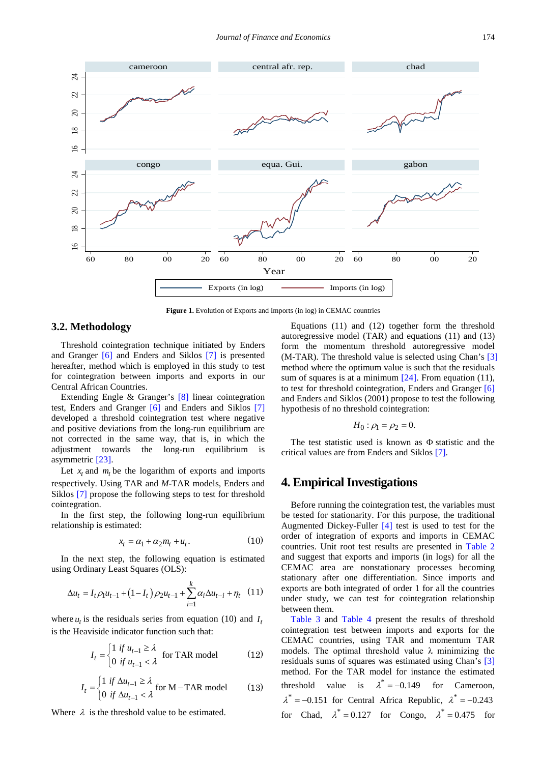

Figure 1. Evolution of Exports and Imports (in log) in CEMAC countries

### **3.2. Methodology**

Threshold cointegration technique initiated by Enders and Granger [\[6\]](#page-6-5) and Enders and Siklos [\[7\]](#page-6-0) is presented hereafter, method which is employed in this study to test for cointegration between imports and exports in our Central African Countries.

Extending Engle & Granger's [\[8\]](#page-6-2) linear cointegration test, Enders and Granger [\[6\]](#page-6-5) and Enders and Siklos [\[7\]](#page-6-0) developed a threshold cointegration test where negative and positive deviations from the long-run equilibrium are not corrected in the same way, that is, in which the adjustment towards the long-run equilibrium is asymmetric [\[23\].](#page-7-2)

Let  $x_t$  and  $m_t$  be the logarithm of exports and imports respectively. Using TAR and *M*-TAR models, Enders and Siklos [\[7\]](#page-6-0) propose the following steps to test for threshold cointegration.

In the first step, the following long-run equilibrium relationship is estimated:

$$
x_t = \alpha_1 + \alpha_2 m_t + u_t. \tag{10}
$$

In the next step, the following equation is estimated using Ordinary Least Squares (OLS):

$$
\Delta u_t = I_t \rho_1 u_{t-1} + (1 - I_t) \rho_2 u_{t-1} + \sum_{i=1}^k \alpha_i \Delta u_{t-i} + \eta_t \quad (11)
$$

where  $u_t$  is the residuals series from equation (10) and  $I_t$ is the Heaviside indicator function such that:

$$
I_t = \begin{cases} 1 & \text{if } u_{t-1} \ge \lambda \\ 0 & \text{if } u_{t-1} < \lambda \end{cases}
$$
 for TAR model (12)

$$
I_t = \begin{cases} 1 & \text{if } \Delta u_{t-1} \ge \lambda \\ 0 & \text{if } \Delta u_{t-1} < \lambda \end{cases} \text{ for } M - \text{TAR model} \tag{13}
$$

Where  $\lambda$  is the threshold value to be estimated.

Equations (11) and (12) together form the threshold autoregressive model (TAR) and equations (11) and (13) form the momentum threshold autoregressive model (M-TAR). The threshold value is selected using Chan's [\[3\]](#page-6-9) method where the optimum value is such that the residuals sum of squares is at a minimum  $[24]$ . From equation (11), to test for threshold cointegration, Enders and Granger [\[6\]](#page-6-5) and Enders and Siklos (2001) propose to test the following hypothesis of no threshold cointegration:

$$
H_0: \rho_1 = \rho_2 = 0.
$$

The test statistic used is known as Φ statistic and the critical values are from Enders and Siklos [\[7\].](#page-6-0)

# **4. Empirical Investigations**

Before running the cointegration test, the variables must be tested for stationarity. For this purpose, the traditional Augmented Dickey-Fuller [\[4\]](#page-6-10) test is used to test for the order of integration of exports and imports in CEMAC countries. Unit root test results are presented in [Table 2](#page-4-0) and suggest that exports and imports (in logs) for all the CEMAC area are nonstationary processes becoming stationary after one differentiation. Since imports and exports are both integrated of order 1 for all the countries under study, we can test for cointegration relationship between them.

[Table 3](#page-4-1) and [Table 4](#page-4-2) present the results of threshold cointegration test between imports and exports for the CEMAC countries, using TAR and momentum TAR models. The optimal threshold value  $\lambda$  minimizing the residuals sums of squares was estimated using Chan's [\[3\]](#page-6-9) method. For the TAR model for instance the estimated threshold value is  $\lambda^* = -0.149$  for Cameroon,  $\lambda^* = -0.151$  for Central Africa Republic,  $\lambda^* = -0.243$ for Chad,  $\lambda^* = 0.127$  for Congo,  $\lambda^* = 0.475$  for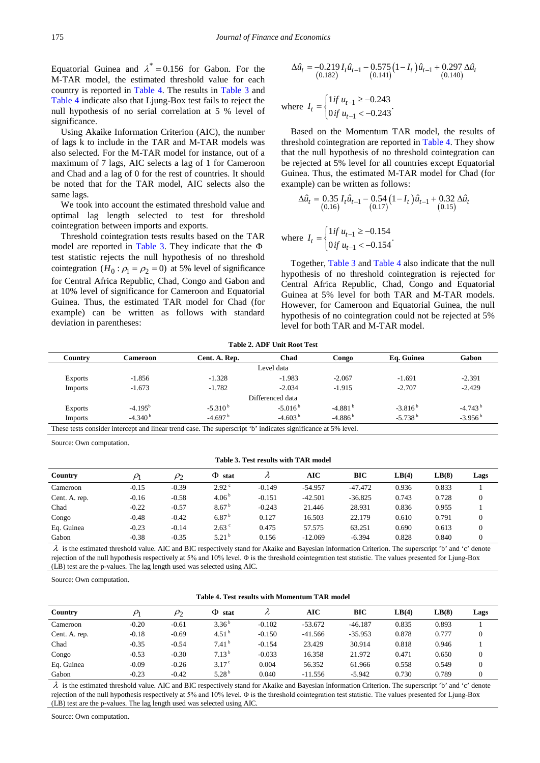Equatorial Guinea and  $\lambda^* = 0.156$  for Gabon. For the M-TAR model, the estimated threshold value for each country is reported in [Table 4.](#page-4-2) The results in [Table 3](#page-4-1) and [Table 4](#page-4-2) indicate also that Ljung-Box test fails to reject the null hypothesis of no serial correlation at 5 % level of significance.

Using Akaike Information Criterion (AIC), the number of lags k to include in the TAR and M-TAR models was also selected. For the M-TAR model for instance, out of a maximum of 7 lags, AIC selects a lag of 1 for Cameroon and Chad and a lag of 0 for the rest of countries. It should be noted that for the TAR model, AIC selects also the same lags.

We took into account the estimated threshold value and optimal lag length selected to test for threshold cointegration between imports and exports.

Threshold cointegration tests results based on the TAR model are reported in [Table 3.](#page-4-1) They indicate that the Φ test statistic rejects the null hypothesis of no threshold cointegration  $(H_0 : \rho_1 = \rho_2 = 0)$  at 5% level of significance for Central Africa Republic, Chad, Congo and Gabon and at 10% level of significance for Cameroon and Equatorial Guinea. Thus, the estimated TAR model for Chad (for example) can be written as follows with standard deviation in parentheses:

$$
\Delta \hat{u}_t = -0.219 I_t \hat{u}_{t-1} - 0.575 (1 - I_t) \hat{u}_{t-1} + 0.297 \Delta \hat{u}_t (0.140)
$$

where 
$$
I_t = \begin{cases} 1if \ u_{t-1} \ge -0.243 \\ 0if \ u_{t-1} < -0.243 \end{cases}
$$
.

Based on the Momentum TAR model, the results of threshold cointegration are reported in [Table 4.](#page-4-2) They show that the null hypothesis of no threshold cointegration can be rejected at 5% level for all countries except Equatorial Guinea. Thus, the estimated M-TAR model for Chad (for example) can be written as follows:

$$
\Delta \hat{u}_t = 0.35 I_t \hat{u}_{t-1} - 0.54 (1 - I_t) \hat{u}_{t-1} + 0.32 \Delta \hat{u}_t
$$
  
(0.16) (0.17)

where 
$$
I_t = \begin{cases} 1 \text{ if } u_{t-1} \ge -0.154 \\ 0 \text{ if } u_{t-1} < -0.154 \end{cases}
$$
.

Together, [Table 3](#page-4-1) and [Table 4](#page-4-2) also indicate that the null hypothesis of no threshold cointegration is rejected for Central Africa Republic, Chad, Congo and Equatorial Guinea at 5% level for both TAR and M-TAR models. However, for Cameroon and Equatorial Guinea, the null hypothesis of no cointegration could not be rejected at 5% level for both TAR and M-TAR model.

**Table 2. ADF Unit Root Test**

<span id="page-4-0"></span>

| Country        | <b>Cameroon</b>  | Cent. A. Rep.                                                                                                 | Chad                  | Congo                 | Eq. Guinea   | Gabon     |
|----------------|------------------|---------------------------------------------------------------------------------------------------------------|-----------------------|-----------------------|--------------|-----------|
|                |                  |                                                                                                               | Level data            |                       |              |           |
| <b>Exports</b> | $-1.856$         | $-1.328$                                                                                                      | $-1.983$              | $-2.067$              | $-1.691$     | $-2.391$  |
| Imports        | $-1.673$         | $-1.782$                                                                                                      | $-2.034$              | $-1.915$              | $-2.707$     | $-2.429$  |
|                |                  |                                                                                                               | Differenced data      |                       |              |           |
| <b>Exports</b> | $-4.195^{\rm b}$ | $-5.310^{\mathrm{b}}$                                                                                         | $-5.016^{\mathrm{b}}$ | $-4.881b$             | $-3.816^{b}$ | $-4.743b$ |
| Imports        | $-4.340b$        | $-4.697b$                                                                                                     | $-4.603b$             | $-4.886^{\mathrm{b}}$ | $-5.738b$    | $-3.956b$ |
|                |                  | These tests consider intercept and linear trend case. The superscript 'b' indicates significance at 5% level. |                       |                       |              |           |

Source: Own computation.

#### **Table 3. Test results with TAR model**

<span id="page-4-1"></span>

| Country       | $\rho_{\text{\tiny{l}}}$ | $\rho_2$ | $\Phi$ stat       | Λ        | AIC       | BІC       | LB(4) | LB(8) | Lags |
|---------------|--------------------------|----------|-------------------|----------|-----------|-----------|-------|-------|------|
| Cameroon      | $-0.15$                  | $-0.39$  | 2.92 <sup>c</sup> | $-0.149$ | $-54.957$ | $-47.472$ | 0.936 | 0.833 |      |
| Cent. A. rep. | $-0.16$                  | $-0.58$  | 4.06 <sup>b</sup> | $-0.151$ | $-42.501$ | $-36.825$ | 0.743 | 0.728 |      |
| Chad          | $-0.22$                  | $-0.57$  | 8.67 <sup>b</sup> | $-0.243$ | 21.446    | 28.931    | 0.836 | 0.955 |      |
| Congo         | $-0.48$                  | $-0.42$  | 6.87 <sup>b</sup> | 0.127    | 16.503    | 22.179    | 0.610 | 0.791 |      |
| Eq. Guinea    | $-0.23$                  | $-0.14$  | 2.63 °            | 0.475    | 57.575    | 63.251    | 0.690 | 0.613 |      |
| Gabon         | $-0.38$                  | $-0.35$  | $5.21^{b}$        | 0.156    | $-12.069$ | $-6.394$  | 0.828 | 0.840 |      |

 $\lambda$  is the estimated threshold value. AIC and BIC respectively stand for Akaike and Bayesian Information Criterion. The superscript 'b' and 'c' denote rejection of the null hypothesis respectively at 5% and 10% level. Φ is the threshold cointegration test statistic. The values presented for Ljung-Box (LB) test are the p-values. The lag length used was selected using AIC.

Source: Own computation.

**Table 4. Test results with Momentum TAR model**

<span id="page-4-2"></span>

| Country       | $\mu_{\mathsf{I}}$ | $\rho_2$ | $\Phi$ stat       | л        | AIC       | BIC       | LB(4) | LB(8) | Lags         |
|---------------|--------------------|----------|-------------------|----------|-----------|-----------|-------|-------|--------------|
| Cameroon      | $-0.20$            | $-0.61$  | 3.36 <sup>b</sup> | $-0.102$ | $-53.672$ | $-46.187$ | 0.835 | 0.893 |              |
| Cent. A. rep. | $-0.18$            | $-0.69$  | 4.51 <sup>b</sup> | $-0.150$ | $-41.566$ | $-35.953$ | 0.878 | 0.777 |              |
| Chad          | $-0.35$            | $-0.54$  | 7.41 <sup>b</sup> | $-0.154$ | 23.429    | 30.914    | 0.818 | 0.946 |              |
| Congo         | $-0.53$            | $-0.30$  | $7.13^{b}$        | $-0.033$ | 16.358    | 21.972    | 0.471 | 0.650 |              |
| Eq. Guinea    | $-0.09$            | $-0.26$  | 3.17 <sup>c</sup> | 0.004    | 56.352    | 61.966    | 0.558 | 0.549 | $\mathbf{0}$ |
| Gabon         | $-0.23$            | $-0.42$  | 5.28 <sup>b</sup> | 0.040    | $-11.556$ | $-5.942$  | 0.730 | 0.789 |              |

 $\lambda$  is the estimated threshold value. AIC and BIC respectively stand for Akaike and Bayesian Information Criterion. The superscript 'b' and 'c' denote rejection of the null hypothesis respectively at 5% and 10% level. Φ is the threshold cointegration test statistic. The values presented for Ljung-Box (LB) test are the p-values. The lag length used was selected using AIC.

Source: Own computation.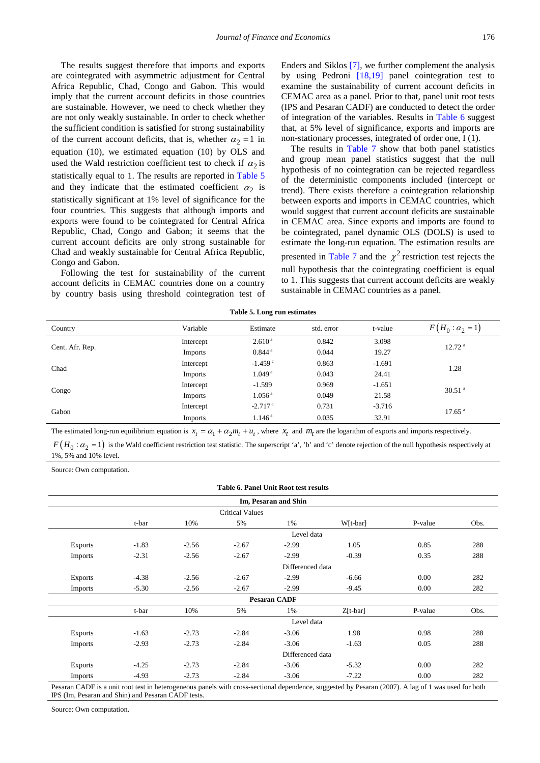The results suggest therefore that imports and exports are cointegrated with asymmetric adjustment for Central Africa Republic, Chad, Congo and Gabon. This would imply that the current account deficits in those countries are sustainable. However, we need to check whether they are not only weakly sustainable. In order to check whether the sufficient condition is satisfied for strong sustainability of the current account deficits, that is, whether  $\alpha_2 = 1$  in equation (10), we estimated equation (10) by OLS and used the Wald restriction coefficient test to check if  $\alpha_2$  is statistically equal to 1. The results are reported in [Table 5](#page-5-0) and they indicate that the estimated coefficient  $\alpha_2$  is statistically significant at 1% level of significance for the four countries. This suggests that although imports and exports were found to be cointegrated for Central Africa Republic, Chad, Congo and Gabon; it seems that the current account deficits are only strong sustainable for Chad and weakly sustainable for Central Africa Republic, Congo and Gabon.

Following the test for sustainability of the current account deficits in CEMAC countries done on a country by country basis using threshold cointegration test of Enders and Siklos [\[7\],](#page-6-0) we further complement the analysis by using Pedroni [\[18,19\]](#page-7-4) panel cointegration test to examine the sustainability of current account deficits in CEMAC area as a panel. Prior to that, panel unit root tests (IPS and Pesaran CADF) are conducted to detect the order of integration of the variables. Results in [Table 6](#page-5-1) suggest that, at 5% level of significance, exports and imports are non-stationary processes, integrated of order one, I (1).

The results in [Table 7](#page-6-11) show that both panel statistics and group mean panel statistics suggest that the null hypothesis of no cointegration can be rejected regardless of the deterministic components included (intercept or trend). There exists therefore a cointegration relationship between exports and imports in CEMAC countries, which would suggest that current account deficits are sustainable in CEMAC area. Since exports and imports are found to be cointegrated, panel dynamic OLS (DOLS) is used to estimate the long-run equation. The estimation results are presented in [Table 7](#page-6-11) and the  $\chi^2$  restriction test rejects the null hypothesis that the cointegrating coefficient is equal to 1. This suggests that current account deficits are weakly sustainable in CEMAC countries as a panel.

<span id="page-5-0"></span>

| Country         | Variable       | Estimate              | std. error | t-value  | $F(H_0: \alpha_2 = 1)$ |
|-----------------|----------------|-----------------------|------------|----------|------------------------|
|                 | Intercept      | 2.610 <sup>a</sup>    | 0.842      | 3.098    | 12.72 <sup>a</sup>     |
| Cent. Afr. Rep. | <b>Imports</b> | $0.844$ <sup>a</sup>  | 0.044      | 19.27    |                        |
| Chad            | Intercept      | $-1.459$ <sup>c</sup> | 0.863      | $-1.691$ |                        |
|                 | <b>Imports</b> | 1.049 <sup>a</sup>    | 0.043      | 24.41    | 1.28                   |
|                 | Intercept      | $-1.599$              | 0.969      | $-1.651$ | $30.51$ <sup>a</sup>   |
| Congo           | <b>Imports</b> | $1.056^{\text{a}}$    | 0.049      | 21.58    |                        |
| Gabon           | Intercept      | $-2.717$ <sup>a</sup> | 0.731      | $-3.716$ | 17.65 <sup>a</sup>     |
|                 | <b>Imports</b> | $1.146^{\text{a}}$    | 0.035      | 32.91    |                        |
|                 |                |                       |            |          |                        |

**Table 5. Long run estimates**

The estimated long-run equilibrium equation is  $x_t = \alpha_1 + \alpha_2 m_t + u_t$ , where  $x_t$  and  $m_t$  are the logarithm of exports and imports respectively.

 $F(H_0: \alpha_2 = 1)$  is the Wald coefficient restriction test statistic. The superscript 'a', 'b' and 'c' denote rejection of the null hypothesis respectively at 1%, 5% and 10% level.

Source: Own computation.

|  |  |  | Table 6. Panel Unit Root test results |
|--|--|--|---------------------------------------|
|  |  |  |                                       |

<span id="page-5-1"></span>

|                |         |         |                        | Im, Pesaran and Shin |            |         |      |
|----------------|---------|---------|------------------------|----------------------|------------|---------|------|
|                |         |         | <b>Critical Values</b> |                      |            |         |      |
|                | t-bar   | 10%     | 5%                     | 1%                   | W[t-bar]   | P-value | Obs. |
|                |         |         |                        | Level data           |            |         |      |
| <b>Exports</b> | $-1.83$ | $-2.56$ | $-2.67$                | $-2.99$              | 1.05       | 0.85    | 288  |
| <b>Imports</b> | $-2.31$ | $-2.56$ | $-2.67$                | $-2.99$              | $-0.39$    | 0.35    | 288  |
|                |         |         |                        | Differenced data     |            |         |      |
| <b>Exports</b> | $-4.38$ | $-2.56$ | $-2.67$                | $-2.99$              | $-6.66$    | 0.00    | 282  |
| <b>Imports</b> | $-5.30$ | $-2.56$ | $-2.67$                | $-2.99$              | $-9.45$    | 0.00    | 282  |
|                |         |         |                        | <b>Pesaran CADF</b>  |            |         |      |
|                | t-bar   | 10%     | 5%                     | 1%                   | $Z[t-bar]$ | P-value | Obs. |
|                |         |         |                        | Level data           |            |         |      |
| <b>Exports</b> | $-1.63$ | $-2.73$ | $-2.84$                | $-3.06$              | 1.98       | 0.98    | 288  |
| <b>Imports</b> | $-2.93$ | $-2.73$ | $-2.84$                | $-3.06$              | $-1.63$    | 0.05    | 288  |
|                |         |         |                        | Differenced data     |            |         |      |
| <b>Exports</b> | $-4.25$ | $-2.73$ | $-2.84$                | $-3.06$              | $-5.32$    | 0.00    | 282  |
| Imports        | $-4.93$ | $-2.73$ | $-2.84$                | $-3.06$              | $-7.22$    | 0.00    | 282  |

Pesaran CADF is a unit root test in heterogeneous panels with cross-sectional dependence, suggested by Pesaran (2007). A lag of 1 was used for both IPS (Im, Pesaran and Shin) and Pesaran CADF tests.

Source: Own computation.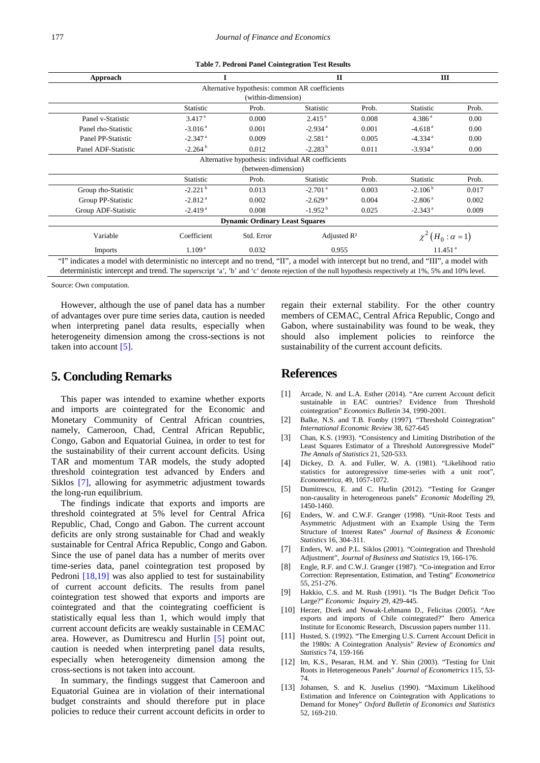<span id="page-6-11"></span>

| Approach            | I                     |                                                    | $\mathbf{I}$            |       | Ш                       |       |
|---------------------|-----------------------|----------------------------------------------------|-------------------------|-------|-------------------------|-------|
|                     |                       | Alternative hypothesis: common AR coefficients     |                         |       |                         |       |
|                     |                       | (within-dimension)                                 |                         |       |                         |       |
|                     | Statistic             | Prob.                                              | Statistic               | Prob. | <b>Statistic</b>        | Prob. |
| Panel v-Statistic   | $3.417$ <sup>a</sup>  | 0.000                                              | $2.415^{a}$             | 0.008 | 4.386 <sup>a</sup>      | 0.00  |
| Panel rho-Statistic | $-3.016$ <sup>a</sup> | 0.001                                              | $-2.934$ <sup>a</sup>   | 0.001 | $-4.618a$               | 0.00  |
| Panel PP-Statistic  | $-2.347$ <sup>a</sup> | 0.009                                              | $-2.581$ <sup>a</sup>   | 0.005 | $-4.334$ <sup>a</sup>   | 0.00  |
| Panel ADF-Statistic | $-2.264b$             | 0.012                                              | $-2.283^{b}$            | 0.011 | $-3.934$ <sup>a</sup>   | 0.00  |
|                     |                       | Alternative hypothesis: individual AR coefficients |                         |       |                         |       |
|                     |                       | (between-dimension)                                |                         |       |                         |       |
|                     | Statistic             | Prob.                                              | Statistic               | Prob. | <b>Statistic</b>        | Prob. |
| Group rho-Statistic | $-2.221$ <sup>b</sup> | 0.013                                              | $-2.701$ <sup>a</sup>   | 0.003 | $-2.106b$               | 0.017 |
| Group PP-Statistic  | $-2.812$ <sup>a</sup> | 0.002                                              | $-2.629$ <sup>a</sup>   | 0.004 | $-2.806$ <sup>a</sup>   | 0.002 |
| Group ADF-Statistic | $-2.419$ <sup>a</sup> | 0.008                                              | $-1.952^{\mathrm{b}}$   | 0.025 | $-2.343$ <sup>a</sup>   | 0.009 |
|                     |                       | <b>Dynamic Ordinary Least Squares</b>              |                         |       |                         |       |
| Variable            | Coefficient           | Std. Error                                         | Adjusted R <sup>2</sup> |       | $\chi^2(H_0: \alpha=1)$ |       |
| <b>Imports</b>      | 1.109 <sup>a</sup>    | 0.032                                              | 0.955                   |       | 11.451 <sup>a</sup>     |       |

**Table 7. Pedroni Panel Cointegration Test Results**

"I" indicates a model with deterministic no intercept and no trend, "II", a model with intercept but no trend, and "III", a model with deterministic intercept and trend. The superscript 'a', 'b' and 'c' denote rejection of the null hypothesis respectively at 1%, 5% and 10% level.

Source: Own computation.

However, although the use of panel data has a number of advantages over pure time series data, caution is needed when interpreting panel data results, especially when heterogeneity dimension among the cross-sections is not taken into account [\[5\].](#page-6-12)

# **5. Concluding Remarks**

This paper was intended to examine whether exports and imports are cointegrated for the Economic and Monetary Community of Central African countries, namely, Cameroon, Chad, Central African Republic, Congo, Gabon and Equatorial Guinea, in order to test for the sustainability of their current account deficits. Using TAR and momentum TAR models, the study adopted threshold cointegration test advanced by Enders and Siklos [\[7\],](#page-6-0) allowing for asymmetric adjustment towards the long-run equilibrium.

The findings indicate that exports and imports are threshold cointegrated at 5% level for Central Africa Republic, Chad, Congo and Gabon. The current account deficits are only strong sustainable for Chad and weakly sustainable for Central Africa Republic, Congo and Gabon. Since the use of panel data has a number of merits over time-series data, panel cointegration test proposed by Pedroni [\[18,19\]](#page-7-4) was also applied to test for sustainability of current account deficits. The results from panel cointegration test showed that exports and imports are cointegrated and that the cointegrating coefficient is statistically equal less than 1, which would imply that current account deficits are weakly sustainable in CEMAC area. However, as Dumitrescu and Hurlin [\[5\]](#page-6-12) point out, caution is needed when interpreting panel data results, especially when heterogeneity dimension among the cross-sections is not taken into account.

In summary, the findings suggest that Cameroon and Equatorial Guinea are in violation of their international budget constraints and should therefore put in place policies to reduce their current account deficits in order to

regain their external stability. For the other country members of CEMAC, Central Africa Republic, Congo and Gabon, where sustainability was found to be weak, they should also implement policies to reinforce the sustainability of the current account deficits.

# **References**

- <span id="page-6-4"></span>[1] Arcade, N. and L.A. Esther (2014). "Are current Account deficit sustainable in EAC ountries? Evidence from Threshold cointegration" *Economics Bulletin* 34, 1990-2001.
- <span id="page-6-9"></span>[2] Balke, N.S. and T.B. Fomby (1997). "Threshold Cointegration" *International Economic Review* 38, 627-645
- <span id="page-6-10"></span>[3] Chan, K.S. (1993). "Consistency and Limiting Distribution of the Least Squares Estimator of a Threshold Autoregressive Model" *The Annals of Statistics* 21, 520-533.
- <span id="page-6-12"></span>[4] Dickey, D. A. and Fuller, W. A. (1981). "Likelihood ratio statistics for autoregressive time-series with a unit root", *Econometrica*, 49, 1057-1072.
- <span id="page-6-5"></span>[5] Dumitrescu, E. and C. Hurlin (2012). "Testing for Granger non-causality in heterogeneous panels" *Economic Modelling* 29, 1450-1460.
- <span id="page-6-0"></span>[6] Enders, W. and C.W.F. Granger (1998). "Unit-Root Tests and Asymmetric Adjustment with an Example Using the Term Structure of Interest Rates" *Journal of Business & Economic Statistics* 16, 304-311.
- <span id="page-6-2"></span>[7] Enders, W. and P.L. Siklos (2001). "Cointegration and Threshold Adjustment", *Journal of Business and Statistics* 19, 166-176.
- <span id="page-6-6"></span>[8] Engle, R.F. and C.W.J. Granger (1987). "Co-integration and Error Correction: Representation, Estimation, and Testing" *Econometrica* 55, 251-276.
- <span id="page-6-8"></span>[9] Hakkio, C.S. and M. Rush (1991). "Is The Budget Deficit 'Too Large?" *Economic Inquiry* 29, 429-445.
- <span id="page-6-7"></span>[10] Herzer, Dierk and Nowak-Lehmann D., Felicitas (2005). "Are exports and imports of Chile cointegrated?" Ibero America Institute for Economic Research, Discussion papers number 111.
- [11] Husted, S. (1992). "The Emerging U.S. Current Account Deficit in the 1980s: A Cointegration Analysis" *Review of Economics and Statistics* 74, 159-166
- <span id="page-6-3"></span>[12] Im, K.S., Pesaran, H.M. and Y. Shin (2003). "Testing for Unit Roots in Heterogeneous Panels" *Journal of Econometrics* 115, 53- 74.
- <span id="page-6-1"></span>[13] Johansen, S. and K. Juselius (1990). "Maximum Likelihood Estimation and Inference on Cointegration with Applications to Demand for Money" *Oxford Bulletin of Economics and Statistics* 52, 169-210.